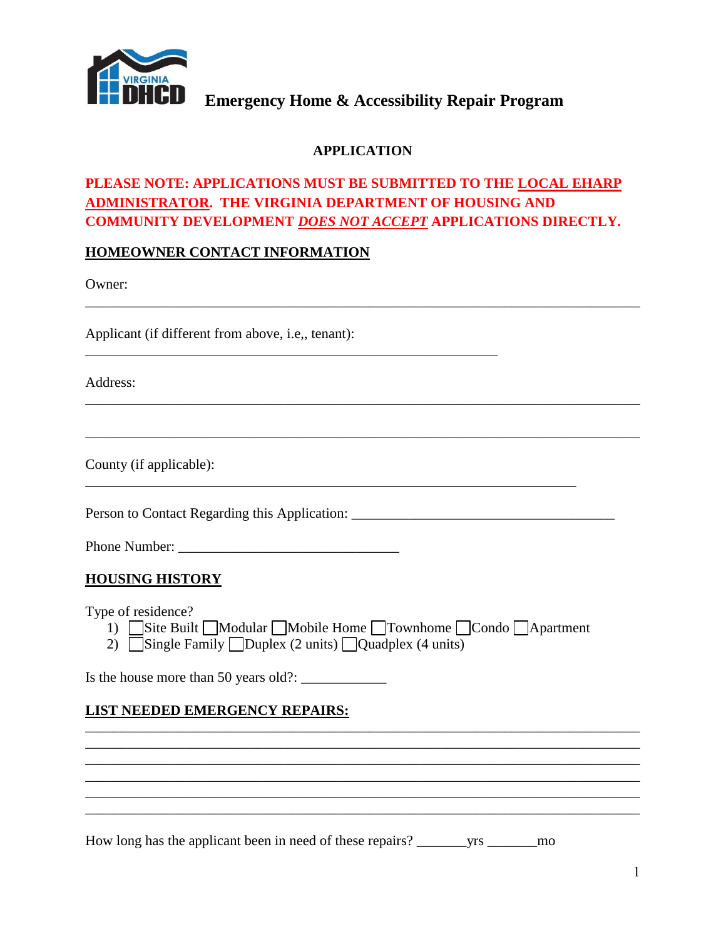

### **APPLICATION**

## **PLEASE NOTE: APPLICATIONS MUST BE SUBMITTED TO THE LOCAL EHARP ADMINISTRATOR. THE VIRGINIA DEPARTMENT OF HOUSING AND COMMUNITY DEVELOPMENT** *DOES NOT ACCEPT* **APPLICATIONS DIRECTLY.**

\_\_\_\_\_\_\_\_\_\_\_\_\_\_\_\_\_\_\_\_\_\_\_\_\_\_\_\_\_\_\_\_\_\_\_\_\_\_\_\_\_\_\_\_\_\_\_\_\_\_\_\_\_\_\_\_\_\_\_\_\_\_\_\_\_\_\_\_\_\_\_\_\_\_\_\_\_\_

\_\_\_\_\_\_\_\_\_\_\_\_\_\_\_\_\_\_\_\_\_\_\_\_\_\_\_\_\_\_\_\_\_\_\_\_\_\_\_\_\_\_\_\_\_\_\_\_\_\_\_\_\_\_\_\_\_\_\_\_\_\_\_\_\_\_\_\_\_\_\_\_\_\_\_\_\_\_

\_\_\_\_\_\_\_\_\_\_\_\_\_\_\_\_\_\_\_\_\_\_\_\_\_\_\_\_\_\_\_\_\_\_\_\_\_\_\_\_\_\_\_\_\_\_\_\_\_\_\_\_\_\_\_\_\_\_\_\_\_\_\_\_\_\_\_\_\_\_\_\_\_\_\_\_\_\_

### **HOMEOWNER CONTACT INFORMATION**

Owner:

Applicant (if different from above, i.e,, tenant):

Address:

County (if applicable):

Person to Contact Regarding this Application: \_\_\_\_\_\_\_\_\_\_\_\_\_\_\_\_\_\_\_\_\_\_\_\_\_\_\_\_\_\_\_\_\_\_\_

Phone Number: \_\_\_\_\_\_\_\_\_\_\_\_\_\_\_\_\_\_\_\_\_\_\_\_\_\_\_\_\_\_\_

### **HOUSING HISTORY**

Type of residence?

1) Site Built Modular Mobile Home Townhome Condo Apartment

\_\_\_\_\_\_\_\_\_\_\_\_\_\_\_\_\_\_\_\_\_\_\_\_\_\_\_\_\_\_\_\_\_\_\_\_\_\_\_\_\_\_\_\_\_\_\_\_\_\_\_\_\_\_\_\_\_\_\_\_\_\_\_\_\_\_\_\_\_\_\_\_\_\_\_\_\_\_ \_\_\_\_\_\_\_\_\_\_\_\_\_\_\_\_\_\_\_\_\_\_\_\_\_\_\_\_\_\_\_\_\_\_\_\_\_\_\_\_\_\_\_\_\_\_\_\_\_\_\_\_\_\_\_\_\_\_\_\_\_\_\_\_\_\_\_\_\_\_\_\_\_\_\_\_\_\_ \_\_\_\_\_\_\_\_\_\_\_\_\_\_\_\_\_\_\_\_\_\_\_\_\_\_\_\_\_\_\_\_\_\_\_\_\_\_\_\_\_\_\_\_\_\_\_\_\_\_\_\_\_\_\_\_\_\_\_\_\_\_\_\_\_\_\_\_\_\_\_\_\_\_\_\_\_\_ \_\_\_\_\_\_\_\_\_\_\_\_\_\_\_\_\_\_\_\_\_\_\_\_\_\_\_\_\_\_\_\_\_\_\_\_\_\_\_\_\_\_\_\_\_\_\_\_\_\_\_\_\_\_\_\_\_\_\_\_\_\_\_\_\_\_\_\_\_\_\_\_\_\_\_\_\_\_ \_\_\_\_\_\_\_\_\_\_\_\_\_\_\_\_\_\_\_\_\_\_\_\_\_\_\_\_\_\_\_\_\_\_\_\_\_\_\_\_\_\_\_\_\_\_\_\_\_\_\_\_\_\_\_\_\_\_\_\_\_\_\_\_\_\_\_\_\_\_\_\_\_\_\_\_\_\_ \_\_\_\_\_\_\_\_\_\_\_\_\_\_\_\_\_\_\_\_\_\_\_\_\_\_\_\_\_\_\_\_\_\_\_\_\_\_\_\_\_\_\_\_\_\_\_\_\_\_\_\_\_\_\_\_\_\_\_\_\_\_\_\_\_\_\_\_\_\_\_\_\_\_\_\_\_\_

2) Single Family  $\Box$ Duplex (2 units)  $\Box$ Quadplex (4 units)

\_\_\_\_\_\_\_\_\_\_\_\_\_\_\_\_\_\_\_\_\_\_\_\_\_\_\_\_\_\_\_\_\_\_\_\_\_\_\_\_\_\_\_\_\_\_\_\_\_\_\_\_\_\_\_\_\_\_

Is the house more than 50 years old?:  $\frac{1}{2}$ 

### **LIST NEEDED EMERGENCY REPAIRS:**

How long has the applicant been in need of these repairs? \_\_\_\_\_\_\_yrs \_\_\_\_\_\_\_mo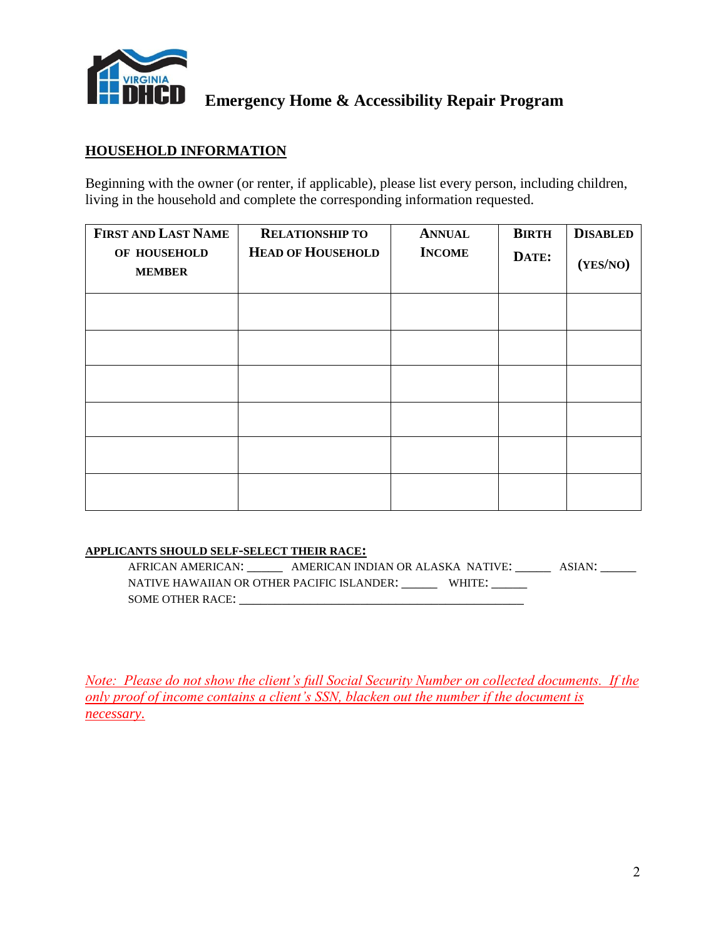

### **HOUSEHOLD INFORMATION**

Beginning with the owner (or renter, if applicable), please list every person, including children, living in the household and complete the corresponding information requested.

| FIRST AND LAST NAME           | <b>RELATIONSHIP TO</b>   | <b>ANNUAL</b> | <b>BIRTH</b> | <b>DISABLED</b> |
|-------------------------------|--------------------------|---------------|--------------|-----------------|
| OF HOUSEHOLD<br><b>MEMBER</b> | <b>HEAD OF HOUSEHOLD</b> | <b>INCOME</b> | DATE:        | (YES/NO)        |
|                               |                          |               |              |                 |
|                               |                          |               |              |                 |
|                               |                          |               |              |                 |
|                               |                          |               |              |                 |
|                               |                          |               |              |                 |
|                               |                          |               |              |                 |

#### **APPLICANTS SHOULD SELF-SELECT THEIR RACE:**

AFRICAN AMERICAN: \_\_\_\_\_\_\_ AMERICAN INDIAN OR ALASKA NATIVE: \_\_\_\_\_\_ ASIAN: \_\_\_\_\_\_ NATIVE HAWAIIAN OR OTHER PACIFIC ISLANDER: WHITE: SOME OTHER RACE: \_\_\_\_\_\_\_\_\_\_\_\_\_\_\_\_\_\_\_\_\_\_\_\_\_\_\_\_\_\_\_\_\_\_\_\_\_\_\_\_

*Note: Please do not show the client's full Social Security Number on collected documents. If the only proof of income contains a client's SSN, blacken out the number if the document is necessary*.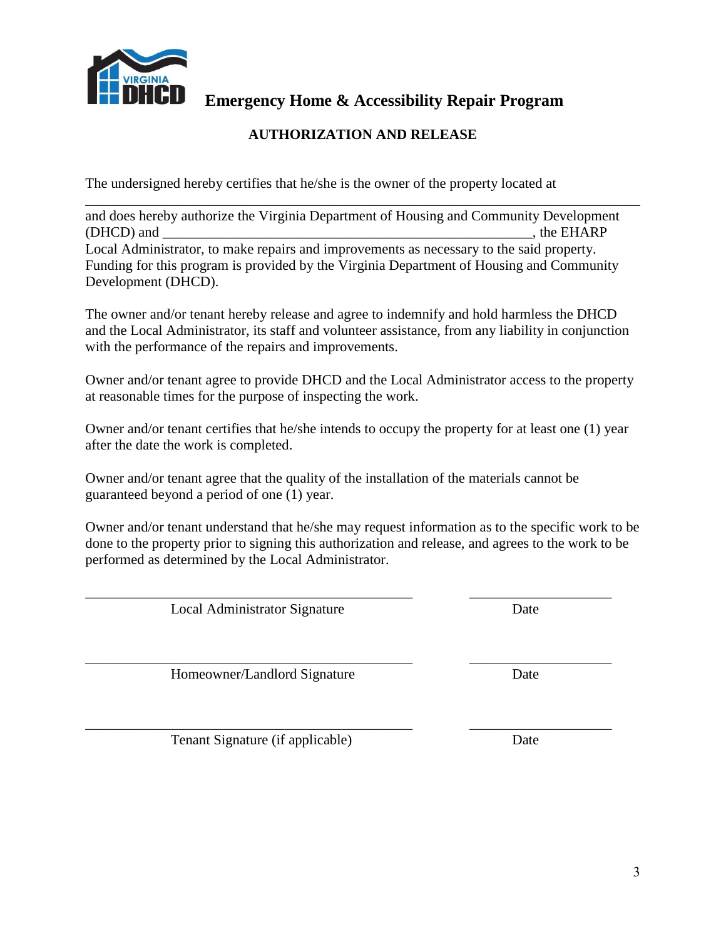

### **AUTHORIZATION AND RELEASE**

The undersigned hereby certifies that he/she is the owner of the property located at

\_\_\_\_\_\_\_\_\_\_\_\_\_\_\_\_\_\_\_\_\_\_\_\_\_\_\_\_\_\_\_\_\_\_\_\_\_\_\_\_\_\_\_\_\_\_\_\_\_\_\_\_\_\_\_\_\_\_\_\_\_\_\_\_\_\_\_\_\_\_\_\_\_\_\_\_\_\_ and does hereby authorize the Virginia Department of Housing and Community Development (DHCD) and \_\_\_\_\_\_\_\_\_\_\_\_\_\_\_\_\_\_\_\_\_\_\_\_\_\_\_\_\_\_\_\_\_\_\_\_\_\_\_\_\_\_\_\_\_\_\_\_\_\_\_\_, the EHARP Local Administrator, to make repairs and improvements as necessary to the said property. Funding for this program is provided by the Virginia Department of Housing and Community Development (DHCD).

The owner and/or tenant hereby release and agree to indemnify and hold harmless the DHCD and the Local Administrator, its staff and volunteer assistance, from any liability in conjunction with the performance of the repairs and improvements.

Owner and/or tenant agree to provide DHCD and the Local Administrator access to the property at reasonable times for the purpose of inspecting the work.

Owner and/or tenant certifies that he/she intends to occupy the property for at least one (1) year after the date the work is completed.

Owner and/or tenant agree that the quality of the installation of the materials cannot be guaranteed beyond a period of one (1) year.

Owner and/or tenant understand that he/she may request information as to the specific work to be done to the property prior to signing this authorization and release, and agrees to the work to be performed as determined by the Local Administrator.

\_\_\_\_\_\_\_\_\_\_\_\_\_\_\_\_\_\_\_\_\_\_\_\_\_\_\_\_\_\_\_\_\_\_\_\_\_\_\_\_\_\_\_\_\_\_ \_\_\_\_\_\_\_\_\_\_\_\_\_\_\_\_\_\_\_\_

\_\_\_\_\_\_\_\_\_\_\_\_\_\_\_\_\_\_\_\_\_\_\_\_\_\_\_\_\_\_\_\_\_\_\_\_\_\_\_\_\_\_\_\_\_\_ \_\_\_\_\_\_\_\_\_\_\_\_\_\_\_\_\_\_\_\_

Local Administrator Signature Date

Homeowner/Landlord Signature Date

\_\_\_\_\_\_\_\_\_\_\_\_\_\_\_\_\_\_\_\_\_\_\_\_\_\_\_\_\_\_\_\_\_\_\_\_\_\_\_\_\_\_\_\_\_\_ \_\_\_\_\_\_\_\_\_\_\_\_\_\_\_\_\_\_\_\_ Tenant Signature (if applicable) Date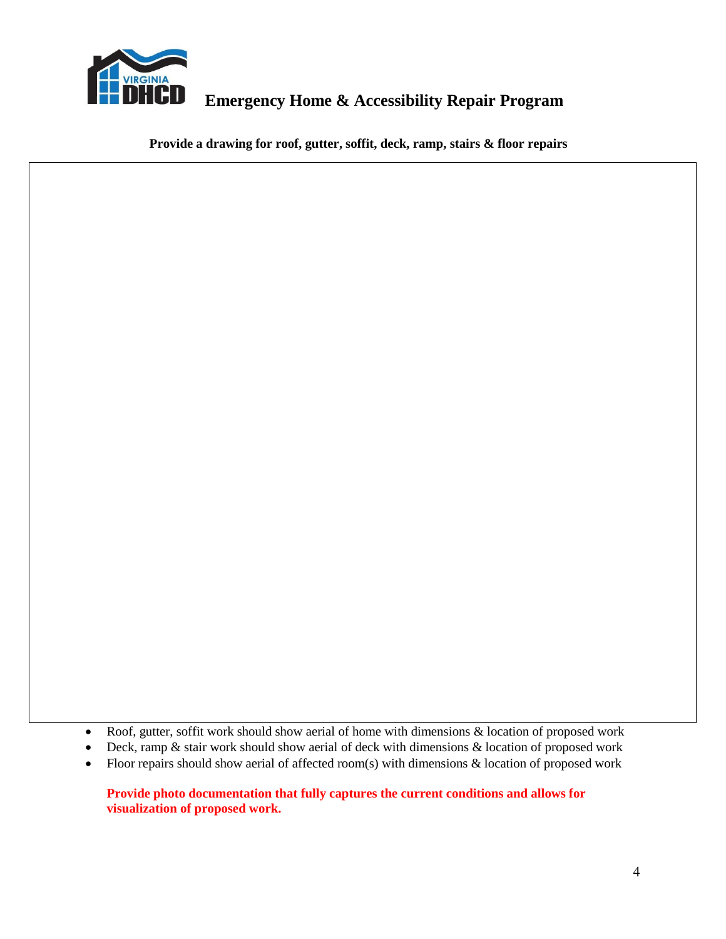

**Provide a drawing for roof, gutter, soffit, deck, ramp, stairs & floor repairs**

• Roof, gutter, soffit work should show aerial of home with dimensions  $\&$  location of proposed work

- Deck, ramp  $\&$  stair work should show aerial of deck with dimensions  $\&$  location of proposed work
- Floor repairs should show aerial of affected room(s) with dimensions  $\&$  location of proposed work

#### **Provide photo documentation that fully captures the current conditions and allows for visualization of proposed work.**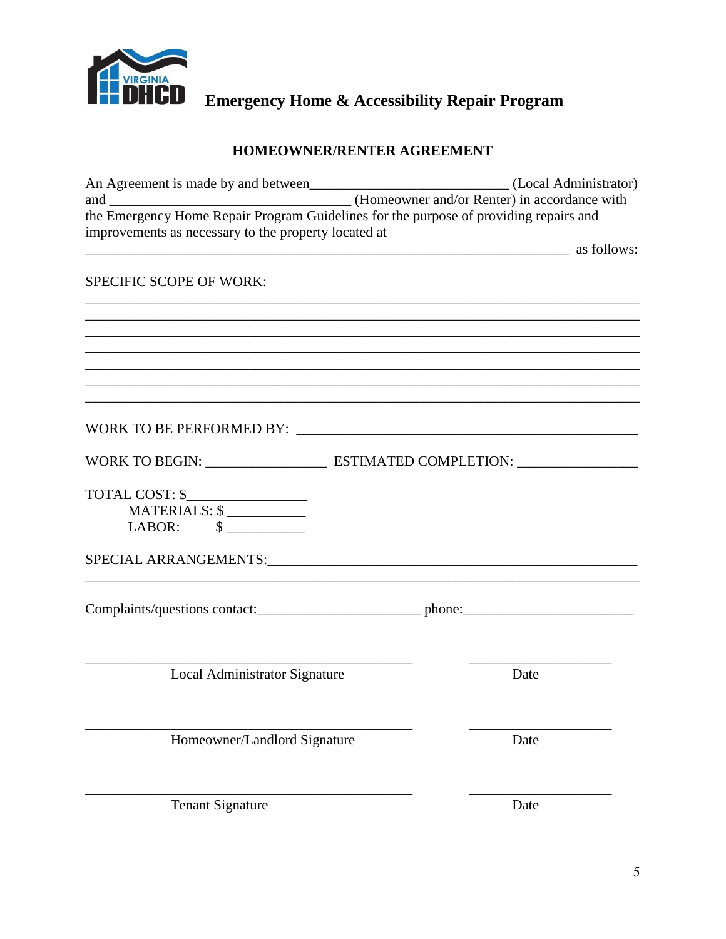

## HOMEOWNER/RENTER AGREEMENT

| (Homeowner and/or Renter) in accordance with<br>and                                   |                      |
|---------------------------------------------------------------------------------------|----------------------|
| the Emergency Home Repair Program Guidelines for the purpose of providing repairs and |                      |
| improvements as necessary to the property located at                                  |                      |
|                                                                                       | <b>a</b> as follows: |
|                                                                                       |                      |
| <b>SPECIFIC SCOPE OF WORK:</b>                                                        |                      |
|                                                                                       |                      |
|                                                                                       |                      |
|                                                                                       |                      |
|                                                                                       |                      |
|                                                                                       |                      |
|                                                                                       |                      |
|                                                                                       |                      |
|                                                                                       |                      |
|                                                                                       |                      |
|                                                                                       |                      |
| WORK TO BEGIN: ESTIMATED COMPLETION:                                                  |                      |
|                                                                                       |                      |
| TOTAL COST: \$                                                                        |                      |
| MATERIALS: \$                                                                         |                      |
|                                                                                       |                      |
|                                                                                       |                      |
|                                                                                       |                      |
|                                                                                       |                      |
|                                                                                       |                      |
|                                                                                       |                      |
|                                                                                       |                      |
|                                                                                       |                      |
| Local Administrator Signature                                                         | Date                 |
|                                                                                       |                      |
|                                                                                       |                      |
|                                                                                       |                      |
| Homeowner/Landlord Signature                                                          | Date                 |
|                                                                                       |                      |
|                                                                                       |                      |
|                                                                                       |                      |
| <b>Tenant Signature</b>                                                               | Date                 |